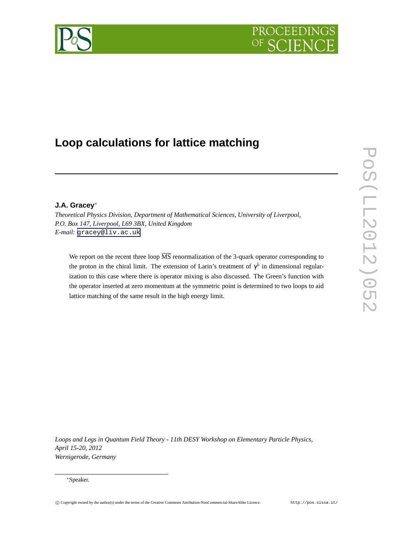# PROCEEDIN



## **Loop calculations for lattice matching**

### **J.A. Gracey** ∗

*Theoretical Physics Division, Department of Mathematical Sciences, University of Liverpool, P.O. Box 147, Liverpool, L69 3BX, United Kingdom E-mail:* [gracey@liv.ac.uk](mailto:gracey@liv.ac.uk)

We report on the recent three loop  $\overline{\text{MS}}$  renormalization of the 3-quark operator corresponding to the proton in the chiral limit. The extension of Larin's treatment of  $\gamma^5$  in dimensional regularization to this case where there is operator mixing is also discussed. The Green's function with the operator inserted at zero momentum at the symmetric point is determined to two loops to aid lattice matching of the same result in the high energy limit.

*Loops and Legs in Quantum Field Theory - 11th DESY Workshop on Elementary Particle Physics, April 15-20, 2012 Wernigerode, Germany*

<sup>∗</sup>Speaker.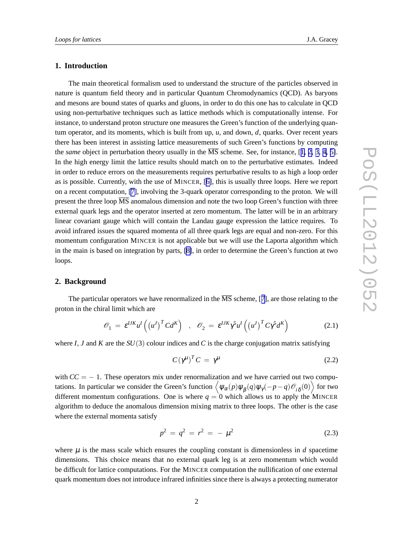#### <span id="page-1-0"></span>**1. Introduction**

The main theoretical formalism used to understand the structure of the particles observed in nature is quantum field theory and in particular Quantum Chromodynamics (QCD). As baryons and mesons are bound states of quarks and gluons, in order to do this one has to calculate in QCD using non-perturbative techniques such as lattice methods which is computationally intense. For instance, to understand proton structure one measures the Green's function of the underlying quantum operator, and its moments, which is built from up, *u*, and down, *d*, quarks. Over recent years there has been interest in assisting lattice measurements of such Green's functions by computing the *same* object in perturbation theory usually in the  $\overline{MS}$  scheme. See, for instance, [[1,](#page-5-0) [2,](#page-5-0) [3,](#page-5-0) [4,](#page-5-0) [5\]](#page-5-0). In the high energy limit the lattice results should match on to the perturbative estimates. Indeed in order to reduce errors on the measurements requires perturbative results to as high a loop order as is possible. Currently, with the use of MINCER, [[6\]](#page-5-0), this is usually three loops. Here we report on a recent computation, [\[7\]](#page-5-0), involving the 3-quark operator corresponding to the proton. We will present the three loop  $\overline{\text{MS}}$  anomalous dimension and note the two loop Green's function with three external quark legs and the operator inserted at zero momentum. The latter will be in an arbitrary linear covariant gauge which will contain the Landau gauge expression the lattice requires. To avoid infrared issues the squared momenta of all three quark legs are equal and non-zero. For this momentum configuration MINCER is not applicable but we will use the Laporta algorithm which in the main is based on integration by parts, [[8\]](#page-5-0), in order to determine the Green's function at two loops.

#### **2. Background**

The particular operators we have renormalized in the  $\overline{\text{MS}}$  scheme, [[7\]](#page-5-0), are those relating to the proton in the chiral limit which are

$$
\mathcal{O}_1 = \varepsilon^{IJK} u^I \left( \left( u^J \right)^T C d^K \right) , \quad \mathcal{O}_2 = \varepsilon^{IJK} \gamma^5 u^I \left( \left( u^J \right)^T C \gamma^5 d^K \right) \tag{2.1}
$$

where  $I, J$  and  $K$  are the  $SU(3)$  colour indices and  $C$  is the charge conjugation matrix satisfying

$$
C\left(\gamma^{\mu}\right)^{T}C = \gamma^{\mu} \tag{2.2}
$$

with  $CC = -1$ . These operators mix under renormalization and we have carried out two computations. In particular we consider the Green's function  $\left\langle \psi_\alpha(p)\psi_\beta(q)\psi_\gamma(-p-q)\mathscr{O}_{i\,\delta}(0)\right\rangle$  for two different momentum configurations. One is where  $q = 0$  which allows us to apply the MINCER algorithm to deduce the anomalous dimension mixing matrix to three loops. The other is the case where the external momenta satisfy

$$
p^2 = q^2 = r^2 = -\mu^2 \tag{2.3}
$$

where  $\mu$  is the mass scale which ensures the coupling constant is dimensionless in  $d$  spacetime dimensions. This choice means that no external quark leg is at zero momentum which would be difficult for lattice computations. For the MINCER computation the nullification of one external quark momentum does not introduce infrared infinities since there is always a protecting numerator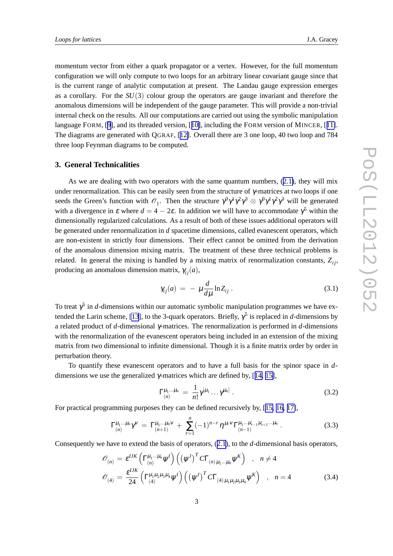momentum vector from either a quark propagator or a vertex. However, for the full momentum configuration we will only compute to two loops for an arbitrary linear covariant gauge since that is the current range of analytic computation at present. The Landau gauge expression emerges as a corollary. For the *SU*(3) colour group the operators are gauge invariant and therefore the anomalous dimensions will be independent of the gauge parameter. This will provide a non-trivial internal check on the results. All our computations are carried out using the symbolic manipulation language FORM, [[9\]](#page-5-0), and its threaded version, [[10\]](#page-6-0), including the FORM version of MINCER, [[11\]](#page-6-0). The diagrams are generated with QGRAF, [[12\]](#page-6-0). Overall there are 3 one loop, 40 two loop and 784 three loop Feynman diagrams to be computed.

#### **3. General Technicalities**

As we are dealing with two operators with the same quantum numbers, ([2.1\)](#page-1-0), they will mix under renormalization. This can be easily seen from the structure of  $\gamma$ -matrices at two loops if one seeds the Green's function with  $\mathcal{O}_1$ . Then the structure  $\gamma^0 \gamma^1 \gamma^2 \gamma^3 \otimes \gamma^0 \gamma^1 \gamma^2 \gamma^3$  will be generated with a divergence in  $\varepsilon$  where  $d = 4 - 2\varepsilon$ . In addition we will have to accommodate  $\gamma^5$  within the dimensionally regularized calculations. As a result of both of these issues additional operators will be generated under renormalization in *d* spacetime dimensions, called evanescent operators, which are non-existent in strictly four dimensions. Their effect cannot be omitted from the derivation of the anomalous dimension mixing matrix. The treatment of these three technical problems is related. In general the mixing is handled by a mixing matrix of renormalization constants,  $Z_{ij}$ , producing an anomalous dimension matrix,  $\gamma_{ij}(a)$ ,

$$
\gamma_{ij}(a) = -\mu \frac{d}{d\mu} \ln Z_{ij} \,. \tag{3.1}
$$

To treat  $\gamma^5$  in *d*-dimensions within our automatic symbolic manipulation programmes we have ex-tended the Larin scheme, [\[13](#page-6-0)], to the 3-quark operators. Briefly,  $\gamma^5$  is replaced in *d*-dimensions by a related product of *d*-dimensional γ-matrices. The renormalization is performed in *d*-dimensions with the renormalization of the evanescent operators being included in an extension of the mixing matrix from two dimensional to infinite dimensional. Though it is a finite matrix order by order in perturbation theory.

To quantify these evanescent operators and to have a full basis for the spinor space in *d*dimensions we use the generalized  $\gamma$ -matrices which are defined by, [[14,](#page-6-0) [15\]](#page-6-0),

$$
\Gamma_{(n)}^{\mu_1...\mu_n} = \frac{1}{n!} \gamma^{[\mu_1} \dots \gamma^{\mu_n]} \ . \tag{3.2}
$$

For practical programming purposes they can be defined recursively by, [[15,](#page-6-0) [16,](#page-6-0) [17\]](#page-6-0),

$$
\Gamma_{(n)}^{\mu_1...\mu_n} \gamma^{\nu} = \Gamma_{(n+1)}^{\mu_1...\mu_n \nu} + \sum_{r=1}^n (-1)^{n-r} \eta^{\mu_r \nu} \Gamma_{(n-1)}^{\mu_1...\mu_{r-1} \mu_{r+1}...\mu_n}.
$$
 (3.3)

Consequently we have to extend the basis of operators, ([2.1\)](#page-1-0), to the *d*-dimensional basis operators,

$$
\mathcal{O}_{(n)} = \varepsilon^{IJK} \left( \Gamma_{(n)}^{\mu_1 \dots \mu_n} \psi^I \right) \left( \left( \psi^I \right)^T C \Gamma_{(n) \mu_1 \dots \mu_n} \psi^K \right) , \quad n \neq 4
$$
\n
$$
\mathcal{O}_{(4)} = \frac{\varepsilon^{IJK}}{24} \left( \Gamma_{(4)}^{\mu_1 \mu_2 \mu_3 \mu_4} \psi^I \right) \left( \left( \psi^I \right)^T C \Gamma_{(4) \mu_1 \mu_2 \mu_3 \mu_4} \psi^K \right) , \quad n = 4
$$
\n(3.4)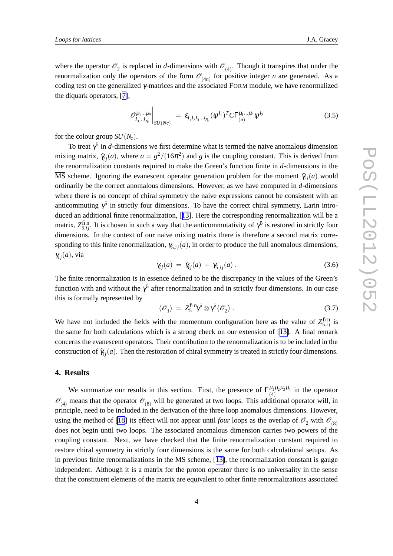where the operator  $\mathcal{O}_2$  is replaced in *d*-dimensions with  $\mathcal{O}_{(4)}$ . Though it transpires that under the renormalization only the operators of the form  $\mathcal{O}_{(4n)}$  for positive integer *n* are generated. As a coding test on the generalized γ-matrices and the associated FORM module, we have renormalized the diquark operators, [[7\]](#page-5-0),

$$
\mathscr{O}_{I_3\ldots I_{N_c}}^{\mu_1\ldots\mu_n}\bigg|_{SU(Nc)} = \varepsilon_{I_1I_2I_3\ldots I_{N_c}}(\psi^{I_1})^T C\Gamma_{(n)}^{\mu_1\ldots\mu_n}\psi^{I_2}
$$
\n(3.5)

for the colour group  $SU(N_c)$ .

To treat  $\gamma^5$  in *d*-dimensions we first determine what is termed the naive anomalous dimension mixing matrix,  $\tilde{\gamma}_{ij}(a)$ , where  $a = g^2/(16\pi^2)$  and *g* is the coupling constant. This is derived from the renormalization constants required to make the Green's function finite in *d*-dimensions in the  $\overline{\text{MS}}$  scheme. Ignoring the evanescent operator generation problem for the moment  $\tilde{\gamma}_{ij}(a)$  would ordinarily be the correct anomalous dimensions. However, as we have computed in *d*-dimensions where there is no concept of chiral symmetry the naive expressions cannot be consistent with an anticommuting  $\gamma^5$  in strictly four dimensions. To have the correct chiral symmetry, Larin introduced an additional finite renormalization, [[13](#page-6-0)]. Here the corresponding renormalization will be a matrix,  $Z_{5,ij}^{\text{fin}}$ . It is chosen in such a way that the anticommutativity of  $\gamma^5$  is restored in strictly four dimensions. In the context of our naive mixing matrix there is therefore a second matrix corresponding to this finite renormalization,  $\gamma_{5,ij}(a)$ , in order to produce the full anomalous dimensions,  $\gamma_{ij}(a)$ , via

$$
\gamma_{ij}(a) = \tilde{\gamma}_{ij}(a) + \gamma_{5,ij}(a) \,. \tag{3.6}
$$

The finite renormalization is in essence defined to be the discrepancy in the values of the Green's function with and without the  $\gamma^5$  after renormalization and in strictly four dimensions. In our case this is formally represented by

$$
\langle \mathscr{O}_1 \rangle = Z_5^{\text{fin}} \gamma^5 \otimes \gamma^5 \langle \mathscr{O}_2 \rangle \,. \tag{3.7}
$$

We have not included the fields with the momentum configuration here as the value of  $Z_{5,ij}^{\text{fin}}$  is the same for both calculations which is a strong check on our extension of [[13\]](#page-6-0). A final remark concerns the evanescent operators. Their contribution to the renormalization is to be included in the construction of  $\tilde{\gamma}_{ij}(a)$ . Then the restoration of chiral symmetry is treated in strictly four dimensions.

#### **4. Results**

We summarize our results in this section. First, the presence of  $\Gamma_{\mu_1\mu_2\mu_3\mu_4}^{\mu_1\mu_2\mu_3\mu_4}$  $\mu_1 \mu_2 \mu_3 \mu_4$  in the operator  $\mathcal{O}_{(4)}$  means that the operator  $\mathcal{O}_{(8)}$  will be generated at two loops. This additional operator will, in principle, need to be included in the derivation of the three loop anomalous dimensions. However, using the method of [\[18](#page-6-0)] its effect will not appear until *four* loops as the overlap of  $\mathcal{O}_2$  with  $\mathcal{O}_{(8)}$ does not begin until two loops. The associated anomalous dimension carries two powers of the coupling constant. Next, we have checked that the finite renormalization constant required to restore chiral symmetry in strictly four dimensions is the same for both calculational setups. As in previous finite renormalizations in the  $\overline{MS}$  scheme, [[13\]](#page-6-0), the renormalization constant is gauge independent. Although it is a matrix for the proton operator there is no universality in the sense that the constituent elements of the matrix are equivalent to other finite renormalizations associated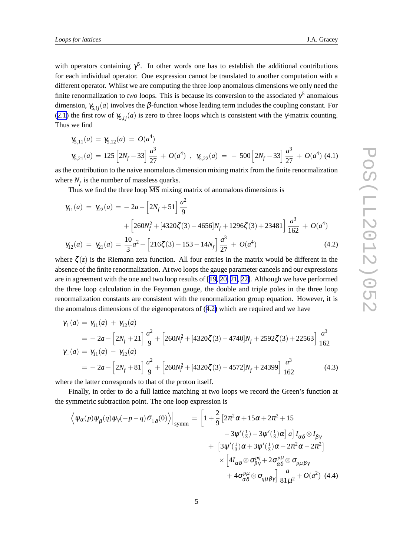<span id="page-4-0"></span>with operators containing  $\gamma^5$ . In other words one has to establish the additional contributions for each individual operator. One expression cannot be translated to another computation with a different operator. Whilst we are computing the three loop anomalous dimensions we only need the finite renormalization to *two* loops. This is because its conversion to the associated  $\gamma^5$  anomalous dimension,  $\gamma_{5,ij}(a)$  involves the  $\beta$ -function whose leading term includes the coupling constant. For ([2.1\)](#page-1-0) the first row of  $\gamma_{5,ij}(a)$  is zero to three loops which is consistent with the  $\gamma$ -matrix counting. Thus we find

$$
\gamma_{5,11}(a) = \gamma_{5,12}(a) = O(a^4)
$$
  
\n
$$
\gamma_{5,21}(a) = 125 \left[ 2N_f - 33 \right] \frac{a^3}{27} + O(a^4) , \gamma_{5,22}(a) = -500 \left[ 2N_f - 33 \right] \frac{a^3}{27} + O(a^4) (4.1)
$$

as the contribution to the naive anomalous dimension mixing matrix from the finite renormalization where  $N_f$  is the number of massless quarks.

Thus we find the three loop  $\overline{\text{MS}}$  mixing matrix of anomalous dimensions is

$$
\gamma_{11}(a) = \gamma_{22}(a) = -2a - \left[2N_f + 51\right] \frac{a^2}{9}
$$
  
+ 
$$
\left[260N_f^2 + [4320\zeta(3) - 4656]N_f + 1296\zeta(3) + 23481\right] \frac{a^3}{162} + O(a^4)
$$
  

$$
\gamma_{12}(a) = \gamma_{21}(a) = \frac{10}{3}a^2 + \left[216\zeta(3) - 153 - 14N_f\right] \frac{a^3}{27} + O(a^4)
$$
(4.2)

where  $\zeta(z)$  is the Riemann zeta function. All four entries in the matrix would be different in the absence of the finite renormalization. At two loops the gauge parameter cancels and our expressions are in agreement with the one and two loop results of [[19,](#page-6-0) [20,](#page-6-0) [21,](#page-6-0) [22\]](#page-6-0). Although we have performed the three loop calculation in the Feynman gauge, the double and triple poles in the three loop renormalization constants are consistent with the renormalization group equation. However, it is the anomalous dimensions of the eigenoperators of (4.2) which are required and we have

$$
\gamma_{+}(a) = \gamma_{11}(a) + \gamma_{12}(a)
$$
\n
$$
= -2a - [2N_{f} + 21] \frac{a^{2}}{9} + [260N_{f}^{2} + [4320\zeta(3) - 4740]N_{f} + 2592\zeta(3) + 22563] \frac{a^{3}}{162}
$$
\n
$$
\gamma_{-}(a) = \gamma_{11}(a) - \gamma_{12}(a)
$$
\n
$$
= -2a - [2N_{f} + 81] \frac{a^{2}}{9} + [260N_{f}^{2} + [4320\zeta(3) - 4572]N_{f} + 24399] \frac{a^{3}}{162}
$$
\n(4.3)

where the latter corresponds to that of the proton itself.

Finally, in order to do a full lattice matching at two loops we record the Green's function at the symmetric subtraction point. The one loop expression is

$$
\left\langle \psi_{\alpha}(p)\psi_{\beta}(q)\psi_{\gamma}(-p-q)\mathscr{O}_{1\delta}(0) \right\rangle \Big|_{\text{symm}} = \left[ 1 + \frac{2}{9} \left[ 2\pi^{2}\alpha + 15\alpha + 2\pi^{2} + 15 \right. \\ \left. - 3\psi'(\frac{1}{3}) - 3\psi'(\frac{1}{3})\alpha \right] a \right] I_{\alpha\delta} \otimes I_{\beta\gamma} \\ \left. + \left[ 3\psi'(\frac{1}{3})\alpha + 3\psi'(\frac{1}{3})\alpha - 2\pi^{2}\alpha - 2\pi^{2} \right] \\ \times \left[ 4I_{\alpha\delta} \otimes \sigma_{\beta\gamma}^{pq} + 2\sigma_{\alpha\delta}^{p\mu} \otimes \sigma_{p\mu\beta\gamma} + 4\sigma_{\alpha\delta}^{p\mu} \otimes \sigma_{q\mu\beta\gamma} \right] \frac{a}{81\mu^{2}} + O(a^{2}) \tag{4.4}
$$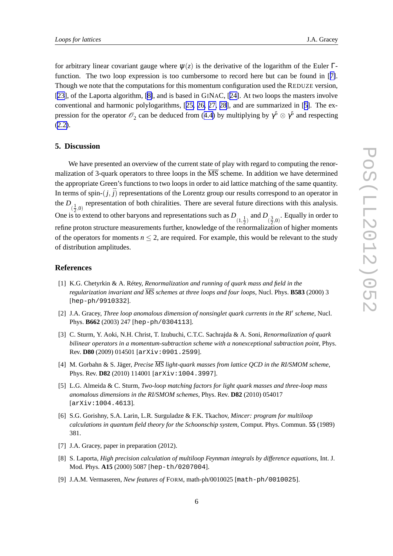<span id="page-5-0"></span>for arbitrary linear covariant gauge where  $\psi(z)$  is the derivative of the logarithm of the Euler Γfunction. The two loop expression is too cumbersome to record here but can be found in [7]. Though we note that the computations for this momentum configuration used the REDUZE version, [[23\]](#page-6-0), of the Laporta algorithm, [8], and is based in GINAC, [[24\]](#page-6-0). At two loops the masters involve conventional and harmonic polylogarithms, [[25,](#page-6-0) [26,](#page-6-0) [27,](#page-6-0) [28](#page-6-0)], and are summarized in [5]. The expression for the operator  $\mathcal{O}_2$  can be deduced from ([4.4](#page-4-0)) by multiplying by  $\gamma^5 \otimes \gamma^5$  and respecting ([2.2\)](#page-1-0).

#### **5. Discussion**

We have presented an overview of the current state of play with regard to computing the renormalization of 3-quark operators to three loops in the  $\overline{\text{MS}}$  scheme. In addition we have determined the appropriate Green's functions to two loops in order to aid lattice matching of the same quantity. In terms of spin- $(j, \bar{j})$  representations of the Lorentz group our results correspond to an operator in the  $D_{(\frac{1}{2},0)}$  representation of both chiralities. There are several future directions with this analysis. One is to extend to other baryons and representations such as  $D_{(1, \frac{1}{2})}$  and  $D_{(\frac{3}{2}, 0)}$ . Equally in order to refine proton structure measurements further, knowledge of the renormalization of higher moments of the operators for moments  $n \leq 2$ , are required. For example, this would be relevant to the study of distribution amplitudes.

#### **References**

- [1] K.G. Chetyrkin & A. Rétey, *Renormalization and running of quark mass and field in the regularization invariant and MS schemes at three loops and four loops*, Nucl. Phys. **B583** (2000) 3 [hep-ph/9910332].
- [2] J.A. Gracey, *Three loop anomalous dimension of nonsinglet quark currents in the RI*<sup>0</sup> *scheme*, Nucl. Phys. **B662** (2003) 247 [hep-ph/0304113].
- [3] C. Sturm, Y. Aoki, N.H. Christ, T. Izubuchi, C.T.C. Sachrajda & A. Soni, *Renormalization of quark bilinear operators in a momentum-subtraction scheme with a nonexceptional subtraction point*, Phys. Rev. **D80** (2009) 014501 [arXiv:0901.2599].
- [4] M. Gorbahn & S. Jäger, *Precise MS light-quark masses from lattice QCD in the RI/SMOM scheme*, Phys. Rev. **D82** (2010) 114001 [arXiv:1004.3997].
- [5] L.G. Almeida & C. Sturm, *Two-loop matching factors for light quark masses and three-loop mass anomalous dimensions in the RI/SMOM schemes*, Phys. Rev. **D82** (2010) 054017 [arXiv:1004.4613].
- [6] S.G. Gorishny, S.A. Larin, L.R. Surguladze & F.K. Tkachov, *Mincer: program for multiloop calculations in quantum field theory for the Schoonschip system*, Comput. Phys. Commun. **55** (1989) 381.
- [7] J.A. Gracey, paper in preparation (2012).
- [8] S. Laporta, *High precision calculation of multiloop Feynman integrals by difference equations*, Int. J. Mod. Phys. **A15** (2000) 5087 [hep-th/0207004].
- [9] J.A.M. Vermaseren, *New features of* FORM, math-ph/0010025 [math-ph/0010025].